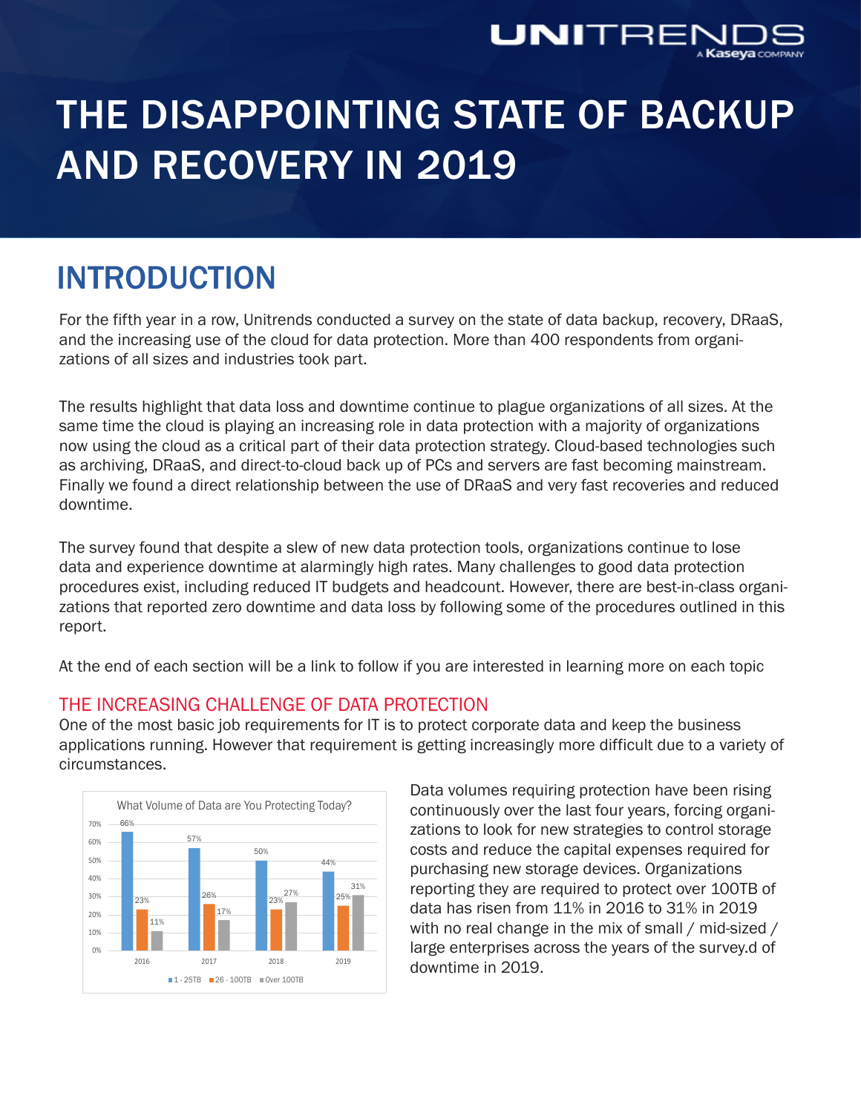

# THE DISAPPOINTING STATE OF BACKUP AND RECOVERY IN 2019

## INTRODUCTION

For the fifth year in a row, Unitrends conducted a survey on the state of data backup, recovery, DRaaS, and the increasing use of the cloud for data protection. More than 400 respondents from organizations of all sizes and industries took part.

The results highlight that data loss and downtime continue to plague organizations of all sizes. At the same time the cloud is playing an increasing role in data protection with a majority of organizations now using the cloud as a critical part of their data protection strategy. Cloud-based technologies such as archiving, DRaaS, and direct-to-cloud back up of PCs and servers are fast becoming mainstream. Finally we found a direct relationship between the use of DRaaS and very fast recoveries and reduced downtime.

The survey found that despite a slew of new data protection tools, organizations continue to lose data and experience downtime at alarmingly high rates. Many challenges to good data protection procedures exist, including reduced IT budgets and headcount. However, there are best-in-class organizations that reported zero downtime and data loss by following some of the procedures outlined in this report.

At the end of each section will be a link to follow if you are interested in learning more on each topic

#### THE INCREASING CHALLENGE OF DATA PROTECTION

One of the most basic job requirements for IT is to protect corporate data and keep the business applications running. However that requirement is getting increasingly more difficult due to a variety of circumstances.



Data volumes requiring protection have been rising continuously over the last four years, forcing organizations to look for new strategies to control storage costs and reduce the capital expenses required for purchasing new storage devices. Organizations reporting they are required to protect over 100TB of data has risen from 11% in 2016 to 31% in 2019 with no real change in the mix of small / mid-sized / large enterprises across the years of the survey.d of downtime in 2019.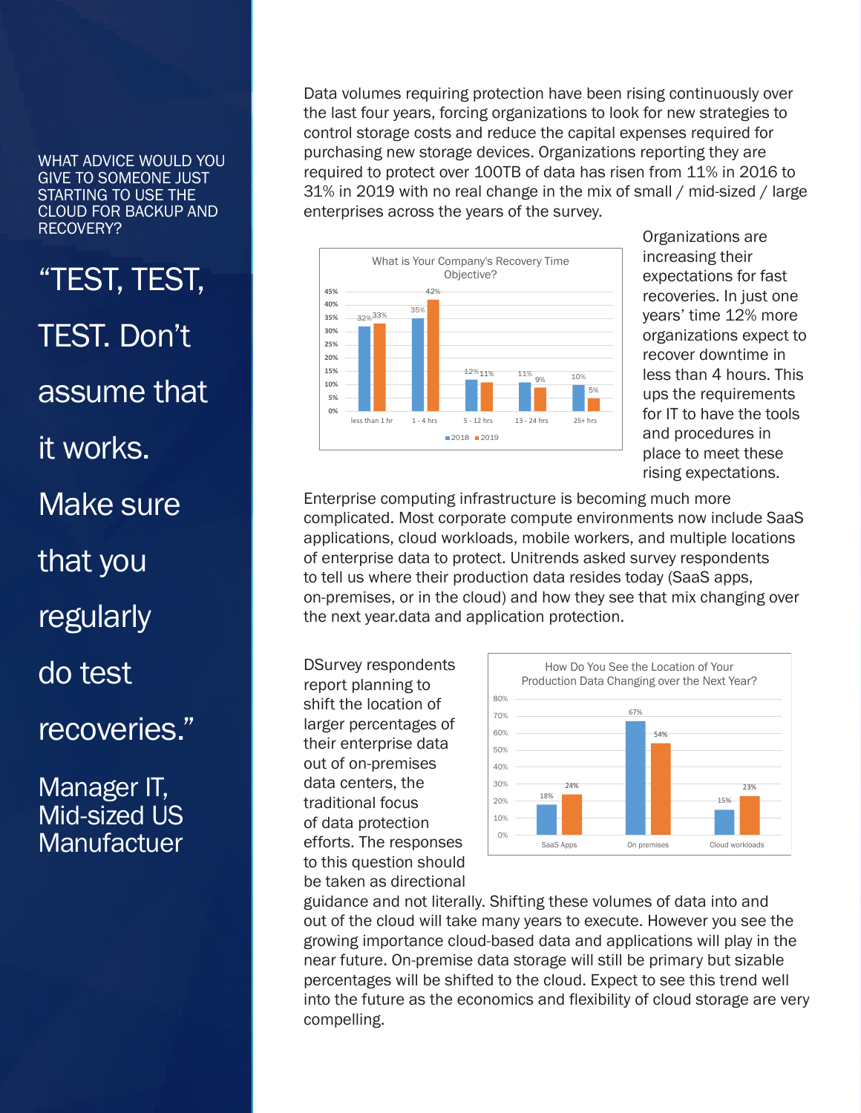"TEST, TEST, TEST. Don't assume that it works. Make sure that you **regularly** do test

## recoveries."

### Manager IT, Mid-sized US **Manufactuer**

Data volumes requiring protection have been rising continuously over the last four years, forcing organizations to look for new strategies to control storage costs and reduce the capital expenses required for purchasing new storage devices. Organizations reporting they are required to protect over 100TB of data has risen from 11% in 2016 to 31% in 2019 with no real change in the mix of small / mid-sized / large enterprises across the years of the survey.



Organizations are increasing their expectations for fast recoveries. In just one years' time 12% more organizations expect to recover downtime in less than 4 hours. This ups the requirements for IT to have the tools and procedures in place to meet these rising expectations.

Enterprise computing infrastructure is becoming much more complicated. Most corporate compute environments now include SaaS applications, cloud workloads, mobile workers, and multiple locations of enterprise data to protect. Unitrends asked survey respondents to tell us where their production data resides today (SaaS apps, on-premises, or in the cloud) and how they see that mix changing over the next year.data and application protection.

DSurvey respondents report planning to shift the location of larger percentages of their enterprise data out of on-premises data centers, the traditional focus of data protection efforts. The responses to this question should be taken as directional



guidance and not literally. Shifting these volumes of data into and out of the cloud will take many years to execute. However you see the growing importance cloud-based data and applications will play in the near future. On-premise data storage will still be primary but sizable percentages will be shifted to the cloud. Expect to see this trend well into the future as the economics and flexibility of cloud storage are very compelling.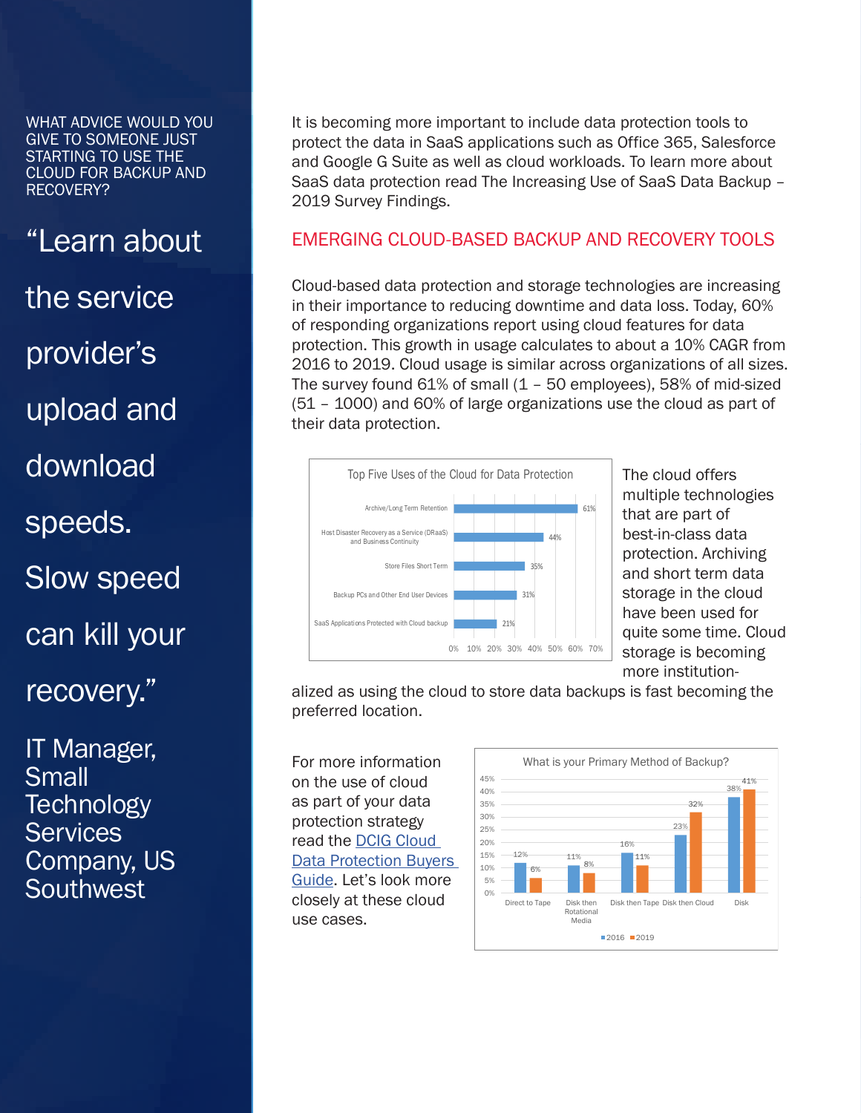"Learn about the service provider's upload and download speeds. Slow speed can kill your recovery."

IT Manager, Small **Technology Services** Company, US Southwest,

It is becoming more important to include data protection tools to protect the data in SaaS applications such as Office 365, Salesforce and Google G Suite as well as cloud workloads. To learn more about SaaS data protection read The Increasing Use of SaaS Data Backup – 2019 Survey Findings.

#### EMERGING CLOUD-BASED BACKUP AND RECOVERY TOOLS

Cloud-based data protection and storage technologies are increasing in their importance to reducing downtime and data loss. Today, 60% of responding organizations report using cloud features for data protection. This growth in usage calculates to about a 10% CAGR from 2016 to 2019. Cloud usage is similar across organizations of all sizes. The survey found 61% of small (1 – 50 employees), 58% of mid-sized (51 – 1000) and 60% of large organizations use the cloud as part of their data protection.



multiple technologies that are part of best-in-class data protection. Archiving and short term data storage in the cloud have been used for quite some time. Cloud storage is becoming more institution-

alized as using the cloud to store data backups is fast becoming the preferred location.

For more information on the use of cloud as part of your data protection strategy read the [DCIG Cloud](https://www.unitrends.com/landing/2018-data-protection-buyers-guide)  [Data Protection Buyers](https://www.unitrends.com/landing/2018-data-protection-buyers-guide)  [Guide](https://www.unitrends.com/landing/2018-data-protection-buyers-guide). Let's look more closely at these cloud use cases.

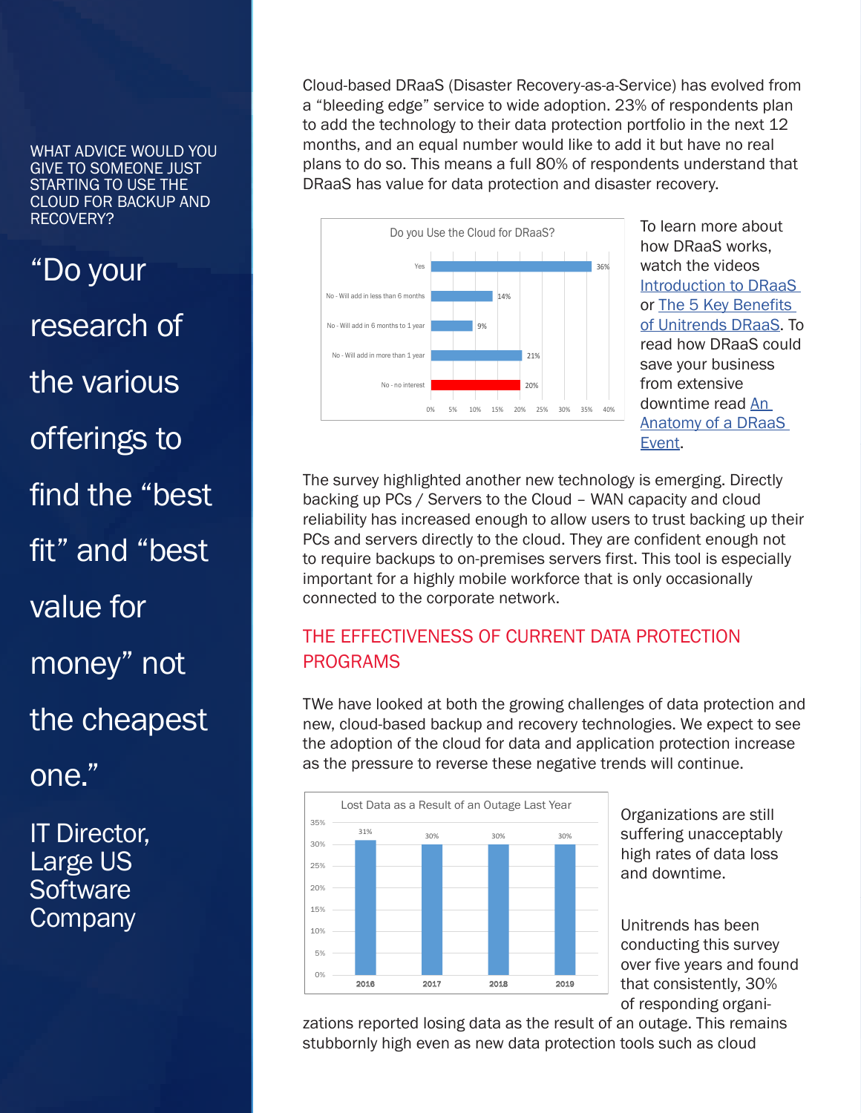"Do your research of the various offerings to find the "best fit" and "best value for money" not the cheapest one."

IT Director, Large US **Software Company** 

Cloud-based DRaaS (Disaster Recovery-as-a-Service) has evolved from a "bleeding edge" service to wide adoption. 23% of respondents plan to add the technology to their data protection portfolio in the next 12 months, and an equal number would like to add it but have no real plans to do so. This means a full 80% of respondents understand that DRaaS has value for data protection and disaster recovery.



how DRaaS works, watch the videos [Introduction to DRaaS](https://www.unitrends.com/resources/introduction-to-draas)  or [The 5 Key Benefits](https://www.unitrends.com/resources/the-5-key-benefits-of-unitrends-draas)  [of Unitrends DRaaS.](https://www.unitrends.com/resources/the-5-key-benefits-of-unitrends-draas) To read how DRaaS could save your business from extensive downtime read [An](https://www.unitrends.com/wp-content/uploads/IrmaDRaaS_B.pdf)  [Anatomy of a DRaaS](https://www.unitrends.com/wp-content/uploads/IrmaDRaaS_B.pdf)  [Event.](https://www.unitrends.com/wp-content/uploads/IrmaDRaaS_B.pdf)

The survey highlighted another new technology is emerging. Directly backing up PCs / Servers to the Cloud – WAN capacity and cloud reliability has increased enough to allow users to trust backing up their PCs and servers directly to the cloud. They are confident enough not to require backups to on-premises servers first. This tool is especially important for a highly mobile workforce that is only occasionally connected to the corporate network.

### THE EFFECTIVENESS OF CURRENT DATA PROTECTION PROGRAMS

TWe have looked at both the growing challenges of data protection and new, cloud-based backup and recovery technologies. We expect to see the adoption of the cloud for data and application protection increase as the pressure to reverse these negative trends will continue.



suffering unacceptably high rates of data loss and downtime.

Unitrends has been conducting this survey over five years and found that consistently, 30% of responding organi-

zations reported losing data as the result of an outage. This remains stubbornly high even as new data protection tools such as cloud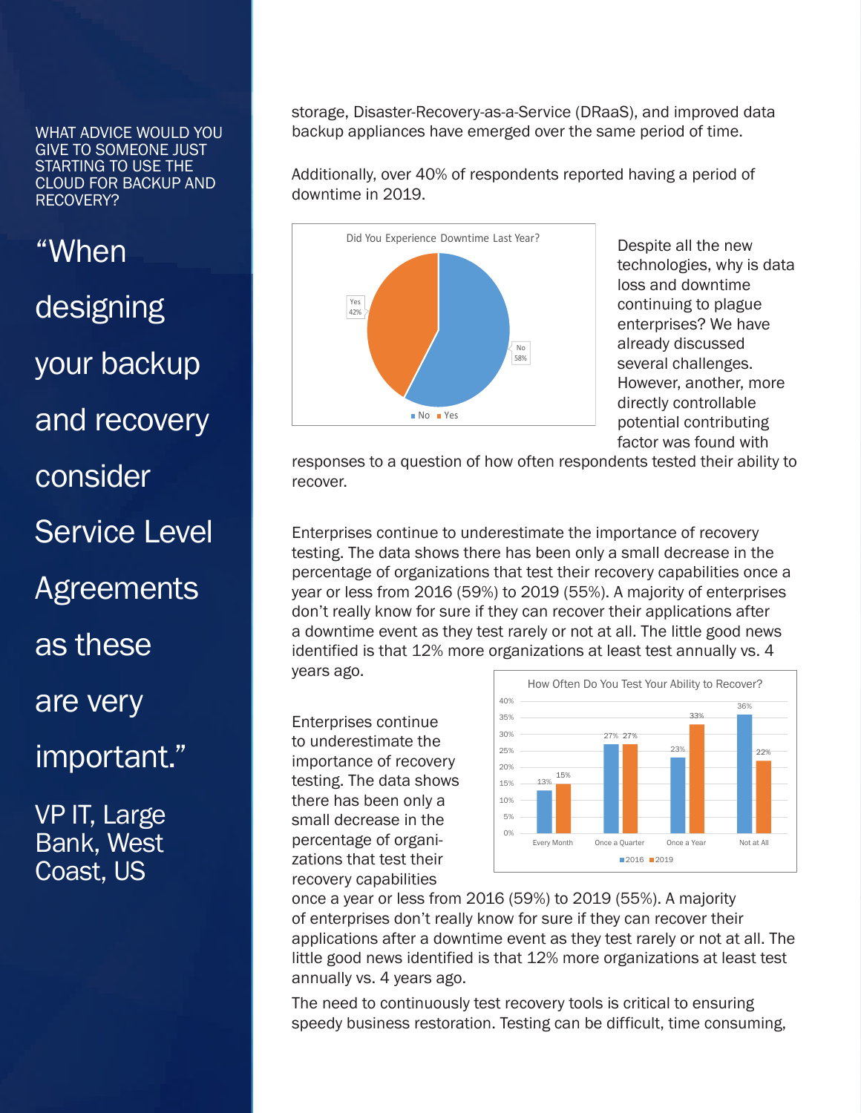"When designing your backup and recovery consider Service Level **Agreements** as these are very important." VP IT, Large

Bank, West Coast, US

storage, Disaster-Recovery-as-a-Service (DRaaS), and improved data backup appliances have emerged over the same period of time.

Additionally, over 40% of respondents reported having a period of downtime in 2019.



Despite all the new technologies, why is data loss and downtime continuing to plague enterprises? We have already discussed several challenges. However, another, more directly controllable potential contributing factor was found with

responses to a question of how often respondents tested their ability to recover.

Enterprises continue to underestimate the importance of recovery testing. The data shows there has been only a small decrease in the percentage of organizations that test their recovery capabilities once a year or less from 2016 (59%) to 2019 (55%). A majority of enterprises don't really know for sure if they can recover their applications after a downtime event as they test rarely or not at all. The little good news identified is that 12% more organizations at least test annually vs. 4 years ago.

Enterprises continue to underestimate the importance of recovery testing. The data shows there has been only a small decrease in the percentage of organizations that test their recovery capabilities



once a year or less from 2016 (59%) to 2019 (55%). A majority of enterprises don't really know for sure if they can recover their applications after a downtime event as they test rarely or not at all. The little good news identified is that 12% more organizations at least test annually vs. 4 years ago.

The need to continuously test recovery tools is critical to ensuring speedy business restoration. Testing can be difficult, time consuming,